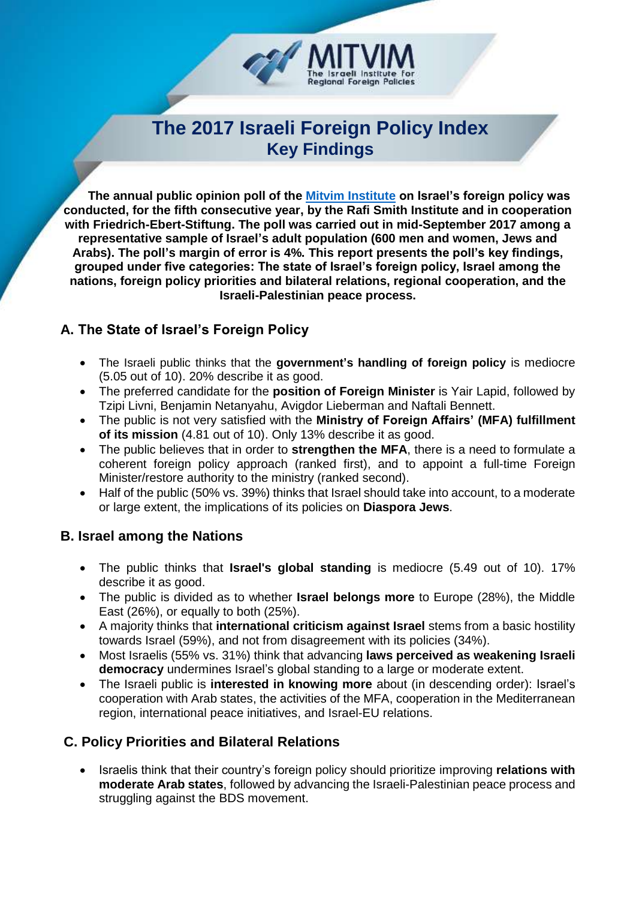

# **The 2017 Israeli Foreign Policy Index Key Findings**

 **The annual public opinion poll of the [Mitvim Institute](http://www.mitvim.org.il/en) on Israel's foreign policy was conducted, for the fifth consecutive year, by the Rafi Smith Institute and in cooperation with Friedrich-Ebert-Stiftung. The poll was carried out in mid-September 2017 among a representative sample of Israel's adult population (600 men and women, Jews and Arabs). The poll's margin of error is 4%. This report presents the poll's key findings, grouped under five categories: The state of Israel's foreign policy, Israel among the nations, foreign policy priorities and bilateral relations, regional cooperation, and the Israeli-Palestinian peace process.**

# **A. The State of Israel's Foreign Policy**

- The Israeli public thinks that the **government's handling of foreign policy** is mediocre (5.05 out of 10). 20% describe it as good.
- The preferred candidate for the **position of Foreign Minister** is Yair Lapid, followed by Tzipi Livni, Benjamin Netanyahu, Avigdor Lieberman and Naftali Bennett.
- The public is not very satisfied with the **Ministry of Foreign Affairs' (MFA) fulfillment of its mission** (4.81 out of 10). Only 13% describe it as good.
- The public believes that in order to **strengthen the MFA**, there is a need to formulate a coherent foreign policy approach (ranked first), and to appoint a full-time Foreign Minister/restore authority to the ministry (ranked second).
- Half of the public (50% vs. 39%) thinks that Israel should take into account, to a moderate or large extent, the implications of its policies on **Diaspora Jews**.

# **B. Israel among the Nations**

- The public thinks that **Israel's global standing** is mediocre (5.49 out of 10). 17% describe it as good.
- The public is divided as to whether **Israel belongs more** to Europe (28%), the Middle East (26%), or equally to both (25%).
- A majority thinks that **international criticism against Israel** stems from a basic hostility towards Israel (59%), and not from disagreement with its policies (34%).
- Most Israelis (55% vs. 31%) think that advancing **laws perceived as weakening Israeli democracy** undermines Israel's global standing to a large or moderate extent.
- The Israeli public is **interested in knowing more** about (in descending order): Israel's cooperation with Arab states, the activities of the MFA, cooperation in the Mediterranean region, international peace initiatives, and Israel-EU relations.

# **C. Policy Priorities and Bilateral Relations**

 Israelis think that their country's foreign policy should prioritize improving **relations with moderate Arab states**, followed by advancing the Israeli-Palestinian peace process and struggling against the BDS movement.